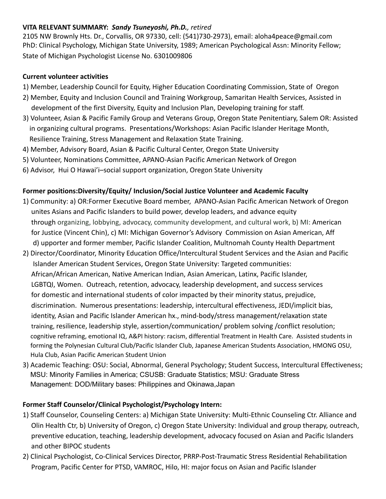## **VITA RELEVANT SUMMARY:** *Sandy Tsuneyoshi, Ph.D., retired*

2105 NW Brownly Hts. Dr., Corvallis, OR 97330, cell: (541)730-2973), email: aloha4peace@gmail.com PhD: Clinical Psychology, Michigan State University, 1989; American Psychological Assn: Minority Fellow; State of Michigan Psychologist License No. 6301009806

## **Current volunteer activities**

- 1) Member, Leadership Council for Equity, Higher Education Coordinating Commission, State of Oregon
- 2) Member, Equity and Inclusion Council and Training Workgroup, Samaritan Health Services, Assisted in development of the first Diversity, Equity and Inclusion Plan, Developing training for staff.
- 3) Volunteer, Asian & Pacific Family Group and Veterans Group, Oregon State Penitentiary, Salem OR: Assisted in organizing cultural programs. Presentations/Workshops: Asian Pacific Islander Heritage Month, Resilience Training, Stress Management and Relaxation State Training.
- 4) Member, Advisory Board, Asian & Pacific Cultural Center, Oregon State University
- 5) Volunteer, Nominations Committee, APANO-Asian Pacific American Network of Oregon
- 6) Advisor, Hui O Hawai'i–social support organization, Oregon State University

## **Former positions:Diversity/Equity/ Inclusion/Social Justice Volunteer and Academic Faculty**

- 1) Community: a) OR:Former Executive Board member, APANO-Asian Pacific American Network of Oregon unites Asians and Pacific Islanders to build power, develop leaders, and advance equity through organizing, lobbying, advocacy, community development, and cultural work, b) MI: American for Justice (Vincent Chin), c) MI: Michigan Governor's Advisory Commission on Asian American, Aff d) upporter and former member, Pacific Islander Coalition, Multnomah County Health Department
- 2) Director/Coordinator, Minority Education Office/Intercultural Student Services and the Asian and Pacific Islander American Student Services, Oregon State University: Targeted communities: African/African American, Native American Indian, Asian American, Latinx, Pacific Islander, LGBTQI, Women. Outreach, retention, advocacy, leadership development, and success services for domestic and international students of color impacted by their minority status, prejudice, discrimination. Numerous presentations: leadership, intercultural effectiveness, JEDI/implicit bias, identity, Asian and Pacific Islander American hx., mind-body/stress management/relaxation state training, resilience, leadership style, assertion/communication/ problem solving /conflict resolution; cognitive reframing, emotional IQ, A&PI history: racism, differential Treatment in Health Care. Assisted students in forming the Polynesian Cultural Club/Pacific Islander Club, Japanese American Students Association, HMONG OSU, Hula Club, Asian Pacific American Student Union
- 3) Academic Teaching: OSU: Social, Abnormal, General Psychology; Student Success, Intercultural Effectiveness; MSU: Minority Families in America; CSUSB: Graduate Statistics; MSU: Graduate Stress Management: DOD/Military bases: Philippines and Okinawa,Japan

## **Former Staff Counselor/Clinical Psychologist/Psychology Intern:**

- 1) Staff Counselor, Counseling Centers: a) Michigan State University: Multi-Ethnic Counseling Ctr. Alliance and Olin Health Ctr, b) University of Oregon, c) Oregon State University: Individual and group therapy, outreach, preventive education, teaching, leadership development, advocacy focused on Asian and Pacific Islanders and other BIPOC students
- 2) Clinical Psychologist, Co-Clinical Services Director, PRRP-Post-Traumatic Stress Residential Rehabilitation Program, Pacific Center for PTSD, VAMROC, Hilo, HI: major focus on Asian and Pacific Islander